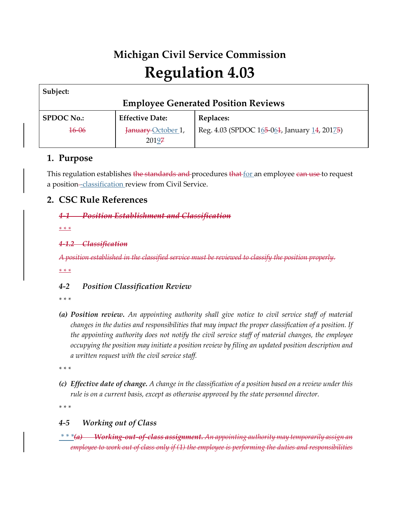# **Michigan Civil Service Commission Regulation 4.03**

| Subject:                                   |                        |                                              |  |
|--------------------------------------------|------------------------|----------------------------------------------|--|
| <b>Employee Generated Position Reviews</b> |                        |                                              |  |
| <b>SPDOC No.:</b>                          | <b>Effective Date:</b> | Replaces:                                    |  |
| <del>16-06</del>                           | January October 1,     | Reg. 4.03 (SPDOC 165-064, January 14, 20175) |  |
|                                            | 20197                  |                                              |  |

## **1. Purpose**

This regulation establishes the standards and procedures that for an employee can use to request a position-classification review from Civil Service.

## **2. CSC Rule References**

#### *4-1 Position Establishment and Classification*

*\* \* \** 

#### *4-1.2 Classification*

*A position established in the classified service must be reviewed to classify the position properly. \* \* \** 

### *4-2 Position Classification Review*

*\* \* \** 

*(a) Position review. An appointing authority shall give notice to civil service staff of material changes in the duties and responsibilities that may impact the proper classification of a position. If the appointing authority does not notify the civil service staff of material changes, the employee occupying the position may initiate a position review by filing an updated position description and a written request with the civil service staff.*

*\* \* \** 

*(c) Effective date of change. A change in the classification of a position based on a review under this rule is on a current basis, except as otherwise approved by the state personnel director.*

*\* \* \** 

### *4-5 Working out of Class*

*\* \* \*(a) Working-out-of-class assignment. An appointing authority may temporarily assign an employee to work out of class only if (1) the employee is performing the duties and responsibilities*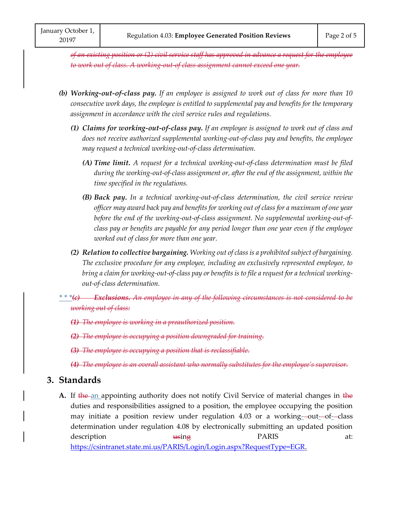*of an existing position or (2) civil service staff has approved in advance a request for the employee to work out of class. A working-out-of class assignment cannot exceed one year.*

- *(b) Working-out-of-class pay. If an employee is assigned to work out of class for more than 10 consecutive work days, the employee is entitled to supplemental pay and benefits for the temporary assignment in accordance with the civil service rules and regulations.*
	- *(1) Claims for working-out-of-class pay. If an employee is assigned to work out of class and does not receive authorized supplemental working-out-of-class pay and benefits, the employee may request a technical working-out-of-class determination.*
		- *(A) Time limit. A request for a technical working-out-of-class determination must be filed during the working-out-of-class assignment or, after the end of the assignment, within the time specified in the regulations.*
		- *(B) Back pay. In a technical working-out-of-class determination, the civil service review officer may award back pay and benefits for working out of class for a maximum of one year before the end of the working-out-of-class assignment. No supplemental working-out-ofclass pay or benefits are payable for any period longer than one year even if the employee worked out of class for more than one year.*
	- *(2) Relation to collective bargaining. Working out of class is a prohibited subject of bargaining. The exclusive procedure for any employee, including an exclusively represented employee, to bring a claim for working-out-of-class pay or benefits is to file a request for a technical workingout-of-class determination.*
- *\* \* \*(c) Exclusions. An employee in any of the following circumstances is not considered to be working out of class:*
	- *(1) The employee is working in a preauthorized position.*
	- *(2) The employee is occupying a position downgraded for training.*
	- *(3) The employee is occupying a position that is reclassifiable.*
	- *(4) The employee is an overall assistant who normally substitutes for the employee's supervisor.*

### **3. Standards**

A. If the an appointing authority does not notify Civil Service of material changes in the duties and responsibilities assigned to a position, the employee occupying the position may initiate a position review under regulation 4.03 or a working--out--of--class determination under regulation 4.08 by electronically submitting an updated position description **using B**ARIS at: [https://csintranet.state.mi.us/PARIS/Login/Login.aspx?RequestType=EGR.](https://csintranet.state.mi.us/PARIS/Login/Login.aspx?RequestType=EGR)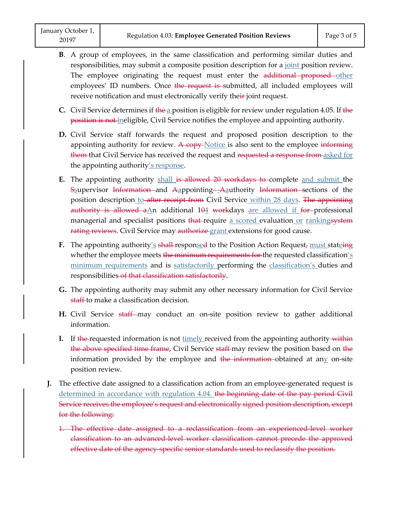- **B**. A group of employees, in the same classification and performing similar duties and responsibilities, may submit a composite position description for a joint position review. The employee originating the request must enter the additional proposed other employees' ID numbers. Once the request is submitted, all included employees will receive notification and must electronically verify their joint request.
- **C.** Civil Service determines if the a position is eligible for review under regulation 4.05. If the position is not ineligible, Civil Service notifies the employee and appointing authority.
- **D.** Civil Service staff forwards the request and proposed position description to the appointing authority for review. A copy- $Notice$  is also sent to the employee informing them that Civil Service has received the request and requested a response from asked for the appointing authority's response.
- **E.** The appointing authority shall is allowed 20 workdays to complete and submit the Ssupervisor Information and Aappointing -- Aauthority Information sections of the position description to after receipt from Civil Service within 28 days. The appointing authority is allowed  $a\Delta n$  additional  $104$  workdays are allowed if for professional managerial and specialist positions  $\frac{1}{2}$  that require a scored evaluation or rankingsystem rating reviews. Civil Service may authorize grant extensions for good cause.
- **F.** The appointing authority's shall-responsed to the Position Action Request, must stateing whether the employee meets the minimum requirements for the requested classification's minimum requirements and is satisfactorily performing the classification's duties and responsibilities of that classification satisfactorily.
- **G.** The appointing authority may submit any other necessary information for Civil Service staff to make a classification decision.
- **H.** Civil Service staff may conduct an on-site position review to gather additional information.
- **I.** If the requested information is not timely received from the appointing authority within the above specified time frame, Civil Service staff-may review the position based on the information provided by the employee and the information obtained at any on-site position review.
- **J.** The effective date assigned to a classification action from an employee-generated request is determined in accordance with regulation 4.04. the beginning date of the pay period Civil Service receives the employee's request and electronically signed position description, except for the following:
	- 1. The effective date assigned to a reclassification from an experienced level worker classification to an advanced level worker classification cannot precede the approved effective date of the agency-specific senior standards used to reclassify the position.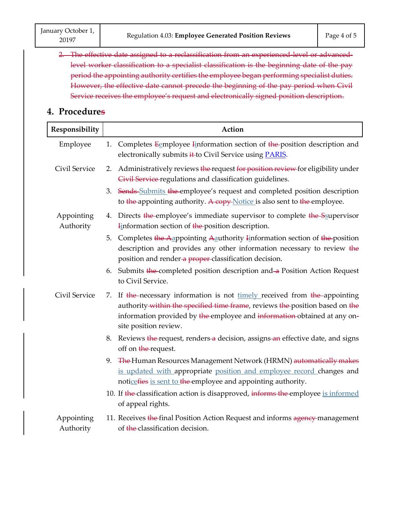2. The effective date assigned to a reclassification from an experienced level or advancedlevel worker classification to a specialist classification is the beginning date of the pay period the appointing authority certifies the employee began performing specialist duties. However, the effective date cannot precede the beginning of the pay period when Civil Service receives the employee's request and electronically signed position description.

## **4. Procedures**

| Responsibility          | Action                                                                                                                                                                                                                                                          |  |  |
|-------------------------|-----------------------------------------------------------------------------------------------------------------------------------------------------------------------------------------------------------------------------------------------------------------|--|--|
| Employee                | Completes Eemployee Information section of the position description and<br>1.<br>electronically submits it to Civil Service using <b>PARIS</b> .                                                                                                                |  |  |
| Civil Service           | Administratively reviews the request for position review for eligibility under<br>2.<br>Civil Service regulations and classification guidelines.                                                                                                                |  |  |
|                         | 3. Sends Submits the employee's request and completed position description<br>to the appointing authority. A copy Notice is also sent to the employee.                                                                                                          |  |  |
| Appointing<br>Authority | 4. Directs the employee's immediate supervisor to complete the Ssupervisor<br><b>Finformation section of the position description.</b>                                                                                                                          |  |  |
|                         | Completes the Aappointing Aauthority Information section of the position<br>5.<br>description and provides any other information necessary to review the<br>position and render-a proper-classification decision.                                               |  |  |
|                         | Submits the completed position description and a Position Action Request<br>6.<br>to Civil Service.                                                                                                                                                             |  |  |
| Civil Service           | 7. If the necessary information is not timely received from the appointing<br>authority within the specified time frame, reviews the position based on the<br>information provided by the employee and information obtained at any on-<br>site position review. |  |  |
|                         | Reviews the request, renders a decision, assigns an effective date, and signs<br>8.<br>off on the request.                                                                                                                                                      |  |  |
|                         | 9. The Human Resources Management Network (HRMN) automatically makes<br>is updated with appropriate position and employee record changes and<br>noticefies is sent to the employee and appointing authority.                                                    |  |  |
|                         | 10. If the classification action is disapproved, informs the employee is informed<br>of appeal rights.                                                                                                                                                          |  |  |
| Appointing<br>Authority | 11. Receives the final Position Action Request and informs agency management<br>of the classification decision.                                                                                                                                                 |  |  |